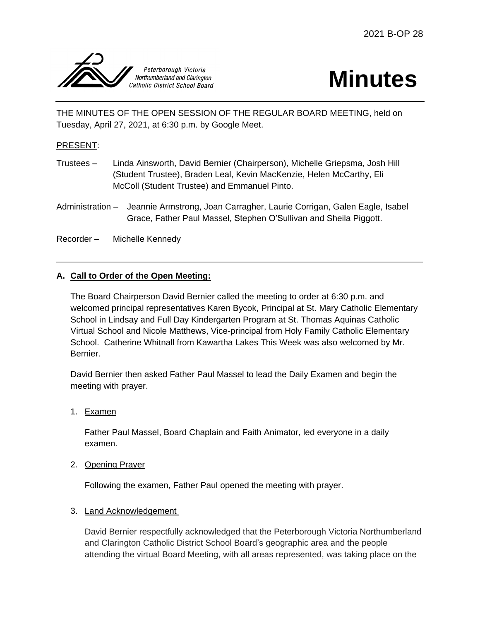

# **Minutes**

THE MINUTES OF THE OPEN SESSION OF THE REGULAR BOARD MEETING, held on Tuesday, April 27, 2021, at 6:30 p.m. by Google Meet.

# PRESENT:

- Trustees Linda Ainsworth, David Bernier (Chairperson), Michelle Griepsma, Josh Hill (Student Trustee), Braden Leal, Kevin MacKenzie, Helen McCarthy, Eli McColl (Student Trustee) and Emmanuel Pinto.
- Administration Jeannie Armstrong, Joan Carragher, Laurie Corrigan, Galen Eagle, Isabel Grace, Father Paul Massel, Stephen O'Sullivan and Sheila Piggott.

Recorder – Michelle Kennedy

# **A. Call to Order of the Open Meeting:**

The Board Chairperson David Bernier called the meeting to order at 6:30 p.m. and welcomed principal representatives Karen Bycok, Principal at St. Mary Catholic Elementary School in Lindsay and Full Day Kindergarten Program at St. Thomas Aquinas Catholic Virtual School and Nicole Matthews, Vice-principal from Holy Family Catholic Elementary School. Catherine Whitnall from Kawartha Lakes This Week was also welcomed by Mr. Bernier.

David Bernier then asked Father Paul Massel to lead the Daily Examen and begin the meeting with prayer.

1. Examen

Father Paul Massel, Board Chaplain and Faith Animator, led everyone in a daily examen.

2. Opening Prayer

Following the examen, Father Paul opened the meeting with prayer.

#### 3. Land Acknowledgement

David Bernier respectfully acknowledged that the Peterborough Victoria Northumberland and Clarington Catholic District School Board's geographic area and the people attending the virtual Board Meeting, with all areas represented, was taking place on the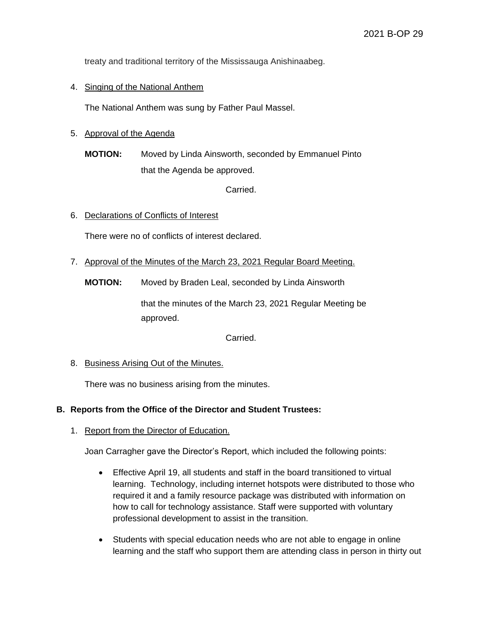treaty and traditional territory of the Mississauga Anishinaabeg.

## 4. Singing of the National Anthem

The National Anthem was sung by Father Paul Massel.

# 5. Approval of the Agenda

**MOTION:** Moved by Linda Ainsworth, seconded by Emmanuel Pinto that the Agenda be approved.

Carried.

#### 6. Declarations of Conflicts of Interest

There were no of conflicts of interest declared.

7. Approval of the Minutes of the March 23, 2021 Regular Board Meeting.

**MOTION:** Moved by Braden Leal, seconded by Linda Ainsworth

that the minutes of the March 23, 2021 Regular Meeting be approved.

Carried.

8. Business Arising Out of the Minutes.

There was no business arising from the minutes.

#### **B. Reports from the Office of the Director and Student Trustees:**

1. Report from the Director of Education.

Joan Carragher gave the Director's Report, which included the following points:

- Effective April 19, all students and staff in the board transitioned to virtual learning. Technology, including internet hotspots were distributed to those who required it and a family resource package was distributed with information on how to call for technology assistance. Staff were supported with voluntary professional development to assist in the transition.
- Students with special education needs who are not able to engage in online learning and the staff who support them are attending class in person in thirty out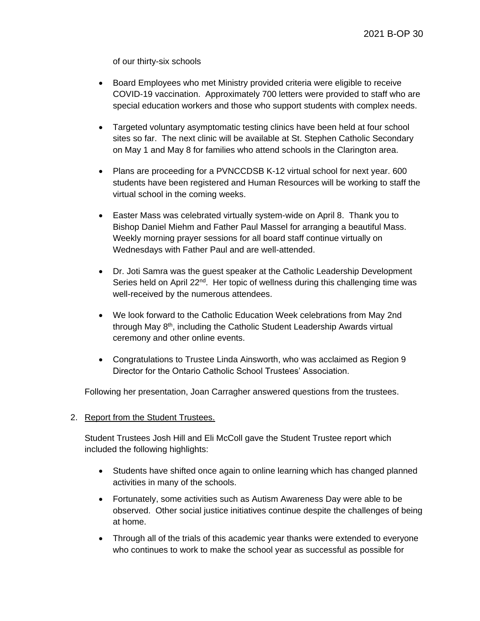of our thirty-six schools

- Board Employees who met Ministry provided criteria were eligible to receive COVID-19 vaccination. Approximately 700 letters were provided to staff who are special education workers and those who support students with complex needs.
- Targeted voluntary asymptomatic testing clinics have been held at four school sites so far. The next clinic will be available at St. Stephen Catholic Secondary on May 1 and May 8 for families who attend schools in the Clarington area.
- Plans are proceeding for a PVNCCDSB K-12 virtual school for next year. 600 students have been registered and Human Resources will be working to staff the virtual school in the coming weeks.
- Easter Mass was celebrated virtually system-wide on April 8. Thank you to Bishop Daniel Miehm and Father Paul Massel for arranging a beautiful Mass. Weekly morning prayer sessions for all board staff continue virtually on Wednesdays with Father Paul and are well-attended.
- Dr. Joti Samra was the guest speaker at the Catholic Leadership Development Series held on April  $22^{nd}$ . Her topic of wellness during this challenging time was well-received by the numerous attendees.
- We look forward to the Catholic Education Week celebrations from May 2nd through May 8th, including the Catholic Student Leadership Awards virtual ceremony and other online events.
- Congratulations to Trustee Linda Ainsworth, who was acclaimed as Region 9 Director for the Ontario Catholic School Trustees' Association.

Following her presentation, Joan Carragher answered questions from the trustees.

#### 2. Report from the Student Trustees.

Student Trustees Josh Hill and Eli McColl gave the Student Trustee report which included the following highlights:

- Students have shifted once again to online learning which has changed planned activities in many of the schools.
- Fortunately, some activities such as Autism Awareness Day were able to be observed. Other social justice initiatives continue despite the challenges of being at home.
- Through all of the trials of this academic year thanks were extended to everyone who continues to work to make the school year as successful as possible for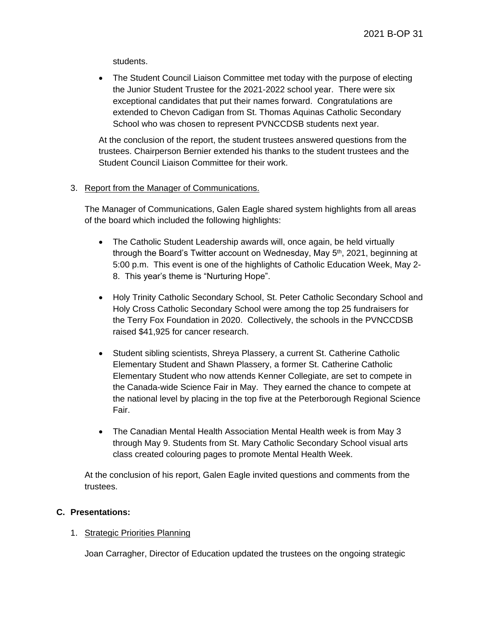students.

• The Student Council Liaison Committee met today with the purpose of electing the Junior Student Trustee for the 2021-2022 school year. There were six exceptional candidates that put their names forward. Congratulations are extended to Chevon Cadigan from St. Thomas Aquinas Catholic Secondary School who was chosen to represent PVNCCDSB students next year.

At the conclusion of the report, the student trustees answered questions from the trustees. Chairperson Bernier extended his thanks to the student trustees and the Student Council Liaison Committee for their work.

# 3. Report from the Manager of Communications.

The Manager of Communications, Galen Eagle shared system highlights from all areas of the board which included the following highlights:

- The Catholic Student Leadership awards will, once again, be held virtually through the Board's Twitter account on Wednesday, May 5<sup>th</sup>, 2021, beginning at 5:00 p.m. This event is one of the highlights of Catholic Education Week, May 2- 8. This year's theme is "Nurturing Hope".
- Holy Trinity Catholic Secondary School, St. Peter Catholic Secondary School and Holy Cross Catholic Secondary School were among the top 25 fundraisers for the Terry Fox Foundation in 2020. Collectively, the schools in the PVNCCDSB raised \$41,925 for cancer research.
- Student sibling scientists, Shreya Plassery, a current St. Catherine Catholic Elementary Student and Shawn Plassery, a former St. Catherine Catholic Elementary Student who now attends Kenner Collegiate, are set to compete in the Canada-wide Science Fair in May. They earned the chance to compete at the national level by placing in the top five at the Peterborough Regional Science Fair.
- The Canadian Mental Health Association Mental Health week is from May 3 through May 9. Students from St. Mary Catholic Secondary School visual arts class created colouring pages to promote Mental Health Week.

At the conclusion of his report, Galen Eagle invited questions and comments from the trustees.

# **C. Presentations:**

# 1. Strategic Priorities Planning

Joan Carragher, Director of Education updated the trustees on the ongoing strategic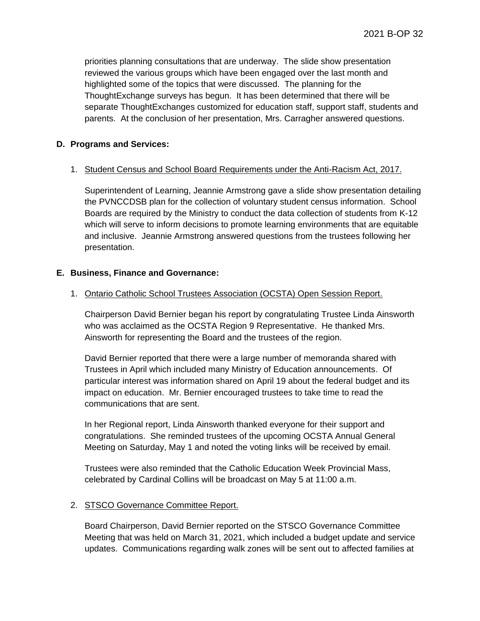priorities planning consultations that are underway. The slide show presentation reviewed the various groups which have been engaged over the last month and highlighted some of the topics that were discussed. The planning for the ThoughtExchange surveys has begun. It has been determined that there will be separate ThoughtExchanges customized for education staff, support staff, students and parents. At the conclusion of her presentation, Mrs. Carragher answered questions.

#### **D. Programs and Services:**

#### 1. Student Census and School Board Requirements under the Anti-Racism Act, 2017.

Superintendent of Learning, Jeannie Armstrong gave a slide show presentation detailing the PVNCCDSB plan for the collection of voluntary student census information. School Boards are required by the Ministry to conduct the data collection of students from K-12 which will serve to inform decisions to promote learning environments that are equitable and inclusive. Jeannie Armstrong answered questions from the trustees following her presentation.

#### **E. Business, Finance and Governance:**

#### 1. Ontario Catholic School Trustees Association (OCSTA) Open Session Report.

Chairperson David Bernier began his report by congratulating Trustee Linda Ainsworth who was acclaimed as the OCSTA Region 9 Representative. He thanked Mrs. Ainsworth for representing the Board and the trustees of the region.

David Bernier reported that there were a large number of memoranda shared with Trustees in April which included many Ministry of Education announcements. Of particular interest was information shared on April 19 about the federal budget and its impact on education. Mr. Bernier encouraged trustees to take time to read the communications that are sent.

In her Regional report, Linda Ainsworth thanked everyone for their support and congratulations. She reminded trustees of the upcoming OCSTA Annual General Meeting on Saturday, May 1 and noted the voting links will be received by email.

Trustees were also reminded that the Catholic Education Week Provincial Mass, celebrated by Cardinal Collins will be broadcast on May 5 at 11:00 a.m.

#### 2. STSCO Governance Committee Report.

Board Chairperson, David Bernier reported on the STSCO Governance Committee Meeting that was held on March 31, 2021, which included a budget update and service updates. Communications regarding walk zones will be sent out to affected families at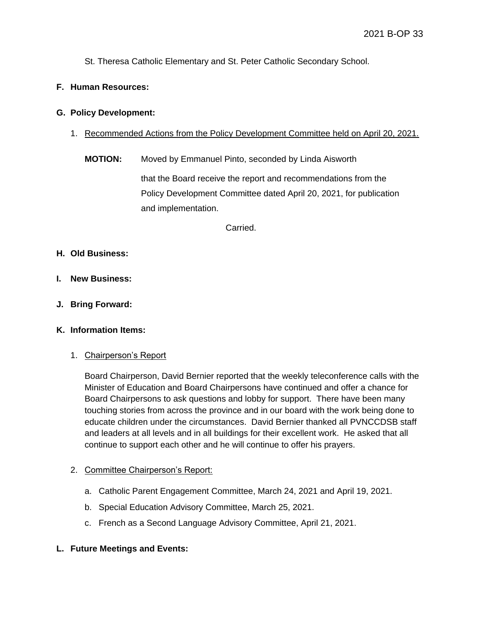St. Theresa Catholic Elementary and St. Peter Catholic Secondary School.

# **F. Human Resources:**

#### **G. Policy Development:**

- 1. Recommended Actions from the Policy Development Committee held on April 20, 2021.
	- **MOTION:** Moved by Emmanuel Pinto, seconded by Linda Aisworth

that the Board receive the report and recommendations from the Policy Development Committee dated April 20, 2021, for publication and implementation.

Carried.

# **H. Old Business:**

- **I. New Business:**
- **J. Bring Forward:**

#### **K. Information Items:**

#### 1. Chairperson's Report

Board Chairperson, David Bernier reported that the weekly teleconference calls with the Minister of Education and Board Chairpersons have continued and offer a chance for Board Chairpersons to ask questions and lobby for support. There have been many touching stories from across the province and in our board with the work being done to educate children under the circumstances. David Bernier thanked all PVNCCDSB staff and leaders at all levels and in all buildings for their excellent work. He asked that all continue to support each other and he will continue to offer his prayers.

#### 2. Committee Chairperson's Report:

- a. Catholic Parent Engagement Committee, March 24, 2021 and April 19, 2021.
- b. Special Education Advisory Committee, March 25, 2021.
- c. French as a Second Language Advisory Committee, April 21, 2021.
- **L. Future Meetings and Events:**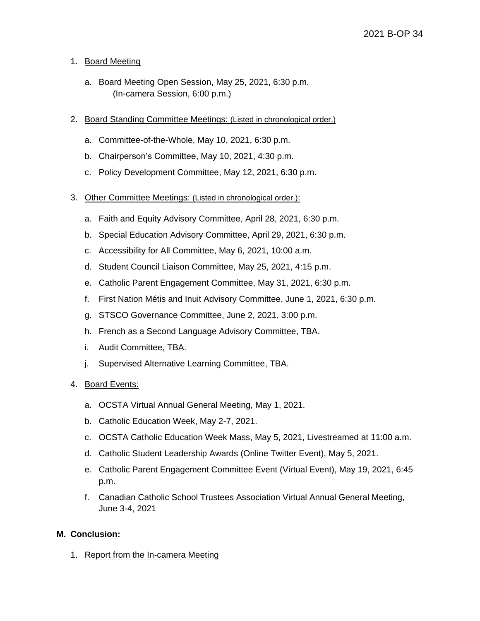# 1. Board Meeting

- a. Board Meeting Open Session, May 25, 2021, 6:30 p.m. (In-camera Session, 6:00 p.m.)
- 2. Board Standing Committee Meetings: (Listed in chronological order.)
	- a. Committee-of-the-Whole, May 10, 2021, 6:30 p.m.
	- b. Chairperson's Committee, May 10, 2021, 4:30 p.m.
	- c. Policy Development Committee, May 12, 2021, 6:30 p.m.
- 3. Other Committee Meetings: (Listed in chronological order.):
	- a. Faith and Equity Advisory Committee, April 28, 2021, 6:30 p.m.
	- b. Special Education Advisory Committee, April 29, 2021, 6:30 p.m.
	- c. Accessibility for All Committee, May 6, 2021, 10:00 a.m.
	- d. Student Council Liaison Committee, May 25, 2021, 4:15 p.m.
	- e. Catholic Parent Engagement Committee, May 31, 2021, 6:30 p.m.
	- f. First Nation Métis and Inuit Advisory Committee, June 1, 2021, 6:30 p.m.
	- g. STSCO Governance Committee, June 2, 2021, 3:00 p.m.
	- h. French as a Second Language Advisory Committee, TBA.
	- i. Audit Committee, TBA.
	- j. Supervised Alternative Learning Committee, TBA.

#### 4. Board Events:

- a. OCSTA Virtual Annual General Meeting, May 1, 2021.
- b. Catholic Education Week, May 2-7, 2021.
- c. OCSTA Catholic Education Week Mass, May 5, 2021, Livestreamed at 11:00 a.m.
- d. Catholic Student Leadership Awards (Online Twitter Event), May 5, 2021.
- e. Catholic Parent Engagement Committee Event (Virtual Event), May 19, 2021, 6:45 p.m.
- f. Canadian Catholic School Trustees Association Virtual Annual General Meeting, June 3-4, 2021

#### **M. Conclusion:**

1. Report from the In-camera Meeting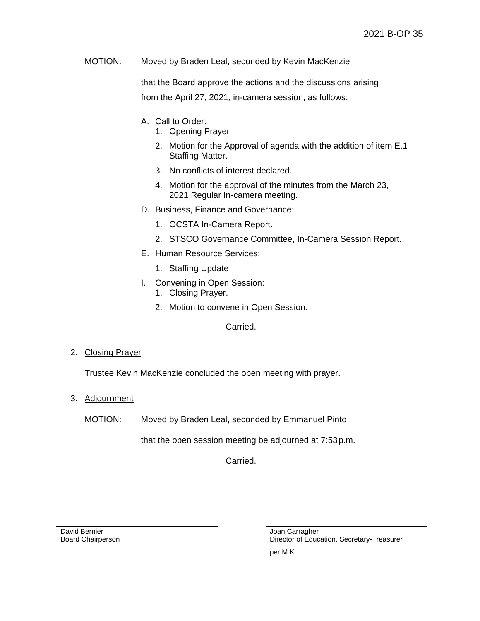MOTION: Moved by Braden Leal, seconded by Kevin MacKenzie

that the Board approve the actions and the discussions arising from the April 27, 2021, in-camera session, as follows:

- A. Call to Order:
	- 1. Opening Prayer
	- 2. Motion for the Approval of agenda with the addition of item E.1 Staffing Matter.
	- 3. No conflicts of interest declared.
	- 4. Motion for the approval of the minutes from the March 23, 2021 Regular In-camera meeting.
- D. Business, Finance and Governance:
	- 1. OCSTA In-Camera Report.
	- 2. STSCO Governance Committee, In-Camera Session Report.
- E. Human Resource Services:
	- 1. Staffing Update
- I. Convening in Open Session:
	- 1. Closing Prayer.
	- 2. Motion to convene in Open Session.

Carried.

2. Closing Prayer

Trustee Kevin MacKenzie concluded the open meeting with prayer.

- 3. Adjournment
	- MOTION: Moved by Braden Leal, seconded by Emmanuel Pinto

that the open session meeting be adjourned at 7:53p.m.

Carried.

David Bernier Board Chairperson Joan Carragher Director of Education, Secretary-Treasurer per M.K.